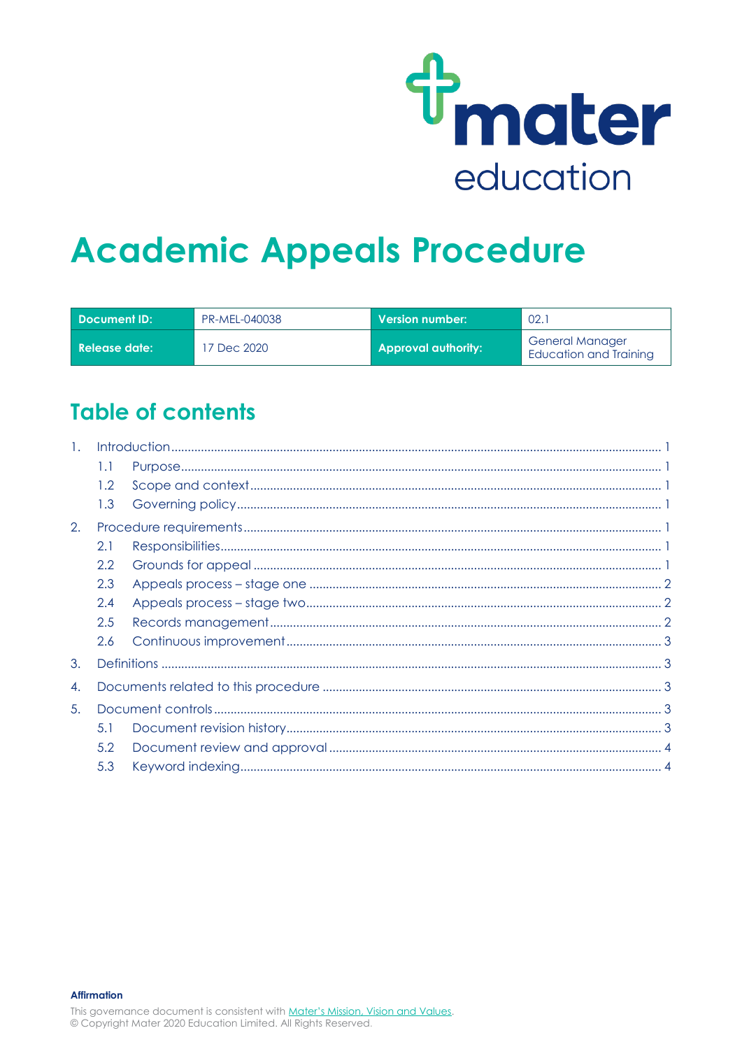

# **Academic Appeals Procedure**

| Document ID:      | PR-MEL-040038 | Version number: \          | 02.7                                                    |
|-------------------|---------------|----------------------------|---------------------------------------------------------|
| l Release date: . | 7 Dec 2020    | <b>Approval authority:</b> | <b>General Manager</b><br><b>Education and Training</b> |

## **Table of contents**

| $\mathbf{1}$ . |     |  |
|----------------|-----|--|
|                | 1.1 |  |
|                | 1.2 |  |
|                | 1.3 |  |
| 2.             |     |  |
|                | 2.1 |  |
|                | 2.2 |  |
|                | 2.3 |  |
|                | 2.4 |  |
|                | 2.5 |  |
|                | 2.6 |  |
| 3.             |     |  |
| 4.             |     |  |
| 5.             |     |  |
|                | 5.1 |  |
|                | 5.2 |  |
|                | 5.3 |  |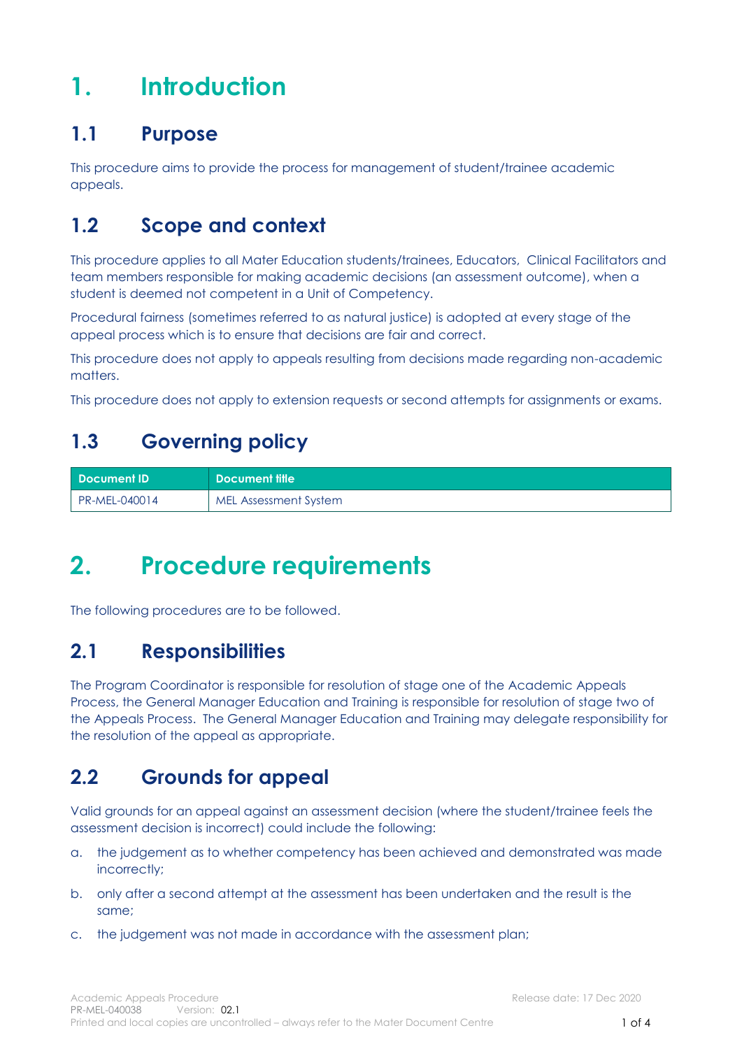## <span id="page-1-0"></span>**1. Introduction**

### <span id="page-1-1"></span>**1.1 Purpose**

This procedure aims to provide the process for management of student/trainee academic appeals.

## <span id="page-1-2"></span>**1.2 Scope and context**

This procedure applies to all Mater Education students/trainees, Educators, Clinical Facilitators and team members responsible for making academic decisions (an assessment outcome), when a student is deemed not competent in a Unit of Competency.

Procedural fairness (sometimes referred to as natural justice) is adopted at every stage of the appeal process which is to ensure that decisions are fair and correct.

This procedure does not apply to appeals resulting from decisions made regarding non-academic matters.

This procedure does not apply to extension requests or second attempts for assignments or exams.

## <span id="page-1-3"></span>**1.3 Governing policy**

| <b>Document ID</b> | Document title        |
|--------------------|-----------------------|
| PR-MEL-040014      | MEL Assessment System |

## <span id="page-1-4"></span>**2. Procedure requirements**

The following procedures are to be followed.

### <span id="page-1-5"></span>**2.1 Responsibilities**

The Program Coordinator is responsible for resolution of stage one of the Academic Appeals Process, the General Manager Education and Training is responsible for resolution of stage two of the Appeals Process. The General Manager Education and Training may delegate responsibility for the resolution of the appeal as appropriate.

## <span id="page-1-6"></span>**2.2 Grounds for appeal**

Valid grounds for an appeal against an assessment decision (where the student/trainee feels the assessment decision is incorrect) could include the following:

- a. the judgement as to whether competency has been achieved and demonstrated was made incorrectly;
- b. only after a second attempt at the assessment has been undertaken and the result is the same;
- c. the judgement was not made in accordance with the assessment plan;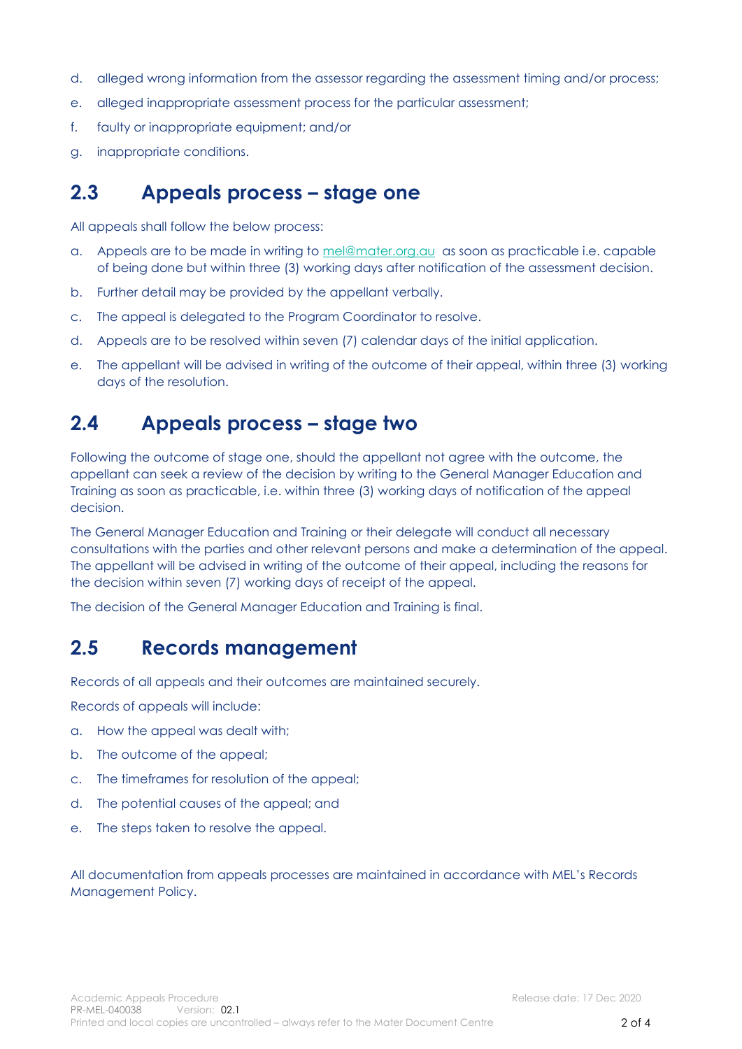- d. alleged wrong information from the assessor regarding the assessment timing and/or process;
- e. alleged inappropriate assessment process for the particular assessment;
- f. faulty or inappropriate equipment; and/or
- g. inappropriate conditions.

### <span id="page-2-0"></span>**2.3 Appeals process – stage one**

All appeals shall follow the below process:

- a. Appeals are to be made in writing to [mel@mater.org.au](mailto:mel@mater.org.au) as soon as practicable i.e. capable of being done but within three (3) working days after notification of the assessment decision.
- b. Further detail may be provided by the appellant verbally.
- c. The appeal is delegated to the Program Coordinator to resolve.
- d. Appeals are to be resolved within seven (7) calendar days of the initial application.
- e. The appellant will be advised in writing of the outcome of their appeal, within three (3) working days of the resolution.

### <span id="page-2-1"></span>**2.4 Appeals process – stage two**

Following the outcome of stage one, should the appellant not agree with the outcome, the appellant can seek a review of the decision by writing to the General Manager Education and Training as soon as practicable, i.e. within three (3) working days of notification of the appeal decision.

The General Manager Education and Training or their delegate will conduct all necessary consultations with the parties and other relevant persons and make a determination of the appeal. The appellant will be advised in writing of the outcome of their appeal, including the reasons for the decision within seven (7) working days of receipt of the appeal.

The decision of the General Manager Education and Training is final.

### <span id="page-2-2"></span>**2.5 Records management**

Records of all appeals and their outcomes are maintained securely.

Records of appeals will include:

- a. How the appeal was dealt with;
- b. The outcome of the appeal;
- c. The timeframes for resolution of the appeal;
- d. The potential causes of the appeal; and
- e. The steps taken to resolve the appeal.

#### All documentation from appeals processes are maintained in accordance with MEL's Records Management Policy.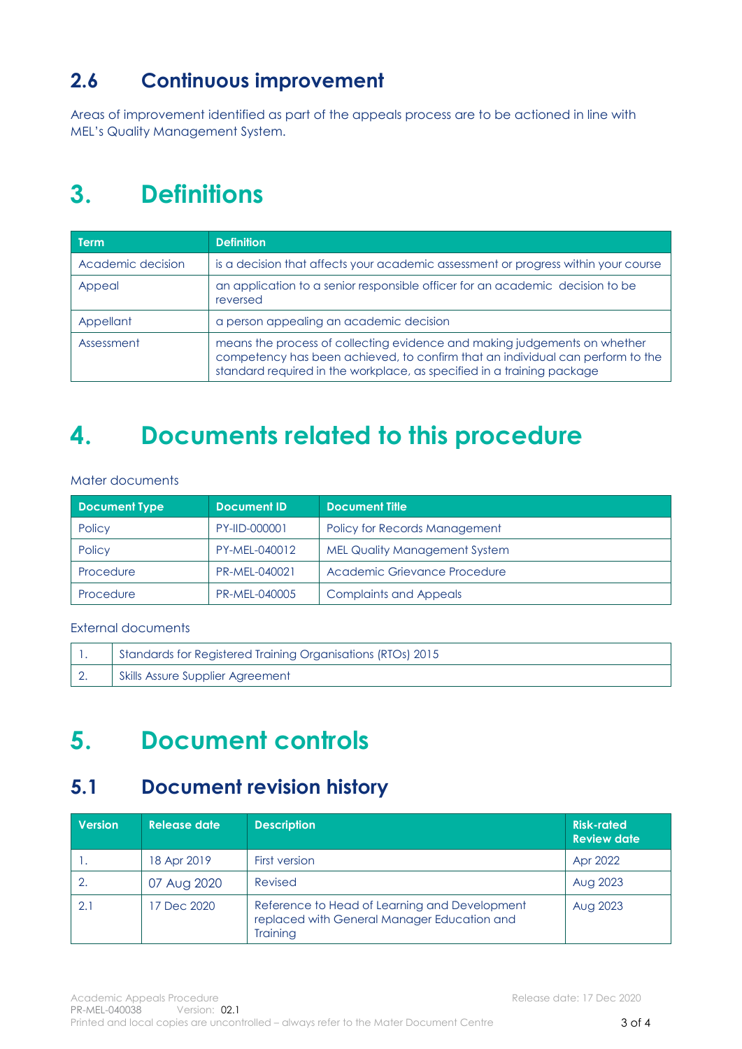## <span id="page-3-0"></span>**2.6 Continuous improvement**

Areas of improvement identified as part of the appeals process are to be actioned in line with MEL's Quality Management System.

## <span id="page-3-1"></span>**3. Definitions**

| <b>Term</b>       | <b>Definition</b>                                                                                                                                                                                                                     |  |
|-------------------|---------------------------------------------------------------------------------------------------------------------------------------------------------------------------------------------------------------------------------------|--|
| Academic decision | is a decision that affects your academic assessment or progress within your course                                                                                                                                                    |  |
| Appeal            | an application to a senior responsible officer for an academic decision to be<br>reversed                                                                                                                                             |  |
| Appellant         | a person appealing an academic decision                                                                                                                                                                                               |  |
| Assessment        | means the process of collecting evidence and making judgements on whether<br>competency has been achieved, to confirm that an individual can perform to the<br>standard required in the workplace, as specified in a training package |  |

## <span id="page-3-2"></span>**4. Documents related to this procedure**

#### Mater documents

| <b>Document Type</b> | <b>Document ID</b> | <b>Document Title</b>                |
|----------------------|--------------------|--------------------------------------|
| Policy               | PY-IID-000001      | Policy for Records Management        |
| Policy               | PY-MEL-040012      | <b>MEL Quality Management System</b> |
| Procedure            | PR-MEL-040021      | Academic Grievance Procedure         |
| Procedure            | PR-MEL-040005      | <b>Complaints and Appeals</b>        |

#### External documents

|            | Standards for Registered Training Organisations (RTOs) 2015 |
|------------|-------------------------------------------------------------|
| $\vert 2.$ | Skills Assure Supplier Agreement                            |

## <span id="page-3-3"></span>**5. Document controls**

### <span id="page-3-4"></span>**5.1 Document revision history**

| <b>Version</b> | Release date | <b>Description</b>                                                                                       | <b>Risk-rated</b><br><b>Review date</b> |
|----------------|--------------|----------------------------------------------------------------------------------------------------------|-----------------------------------------|
| .              | 18 Apr 2019  | <b>First version</b>                                                                                     | Apr 2022                                |
|                | 07 Aug 2020  | Revised                                                                                                  | Aug 2023                                |
| 2.1            | 17 Dec 2020  | Reference to Head of Learning and Development<br>replaced with General Manager Education and<br>Training | Aug 2023                                |